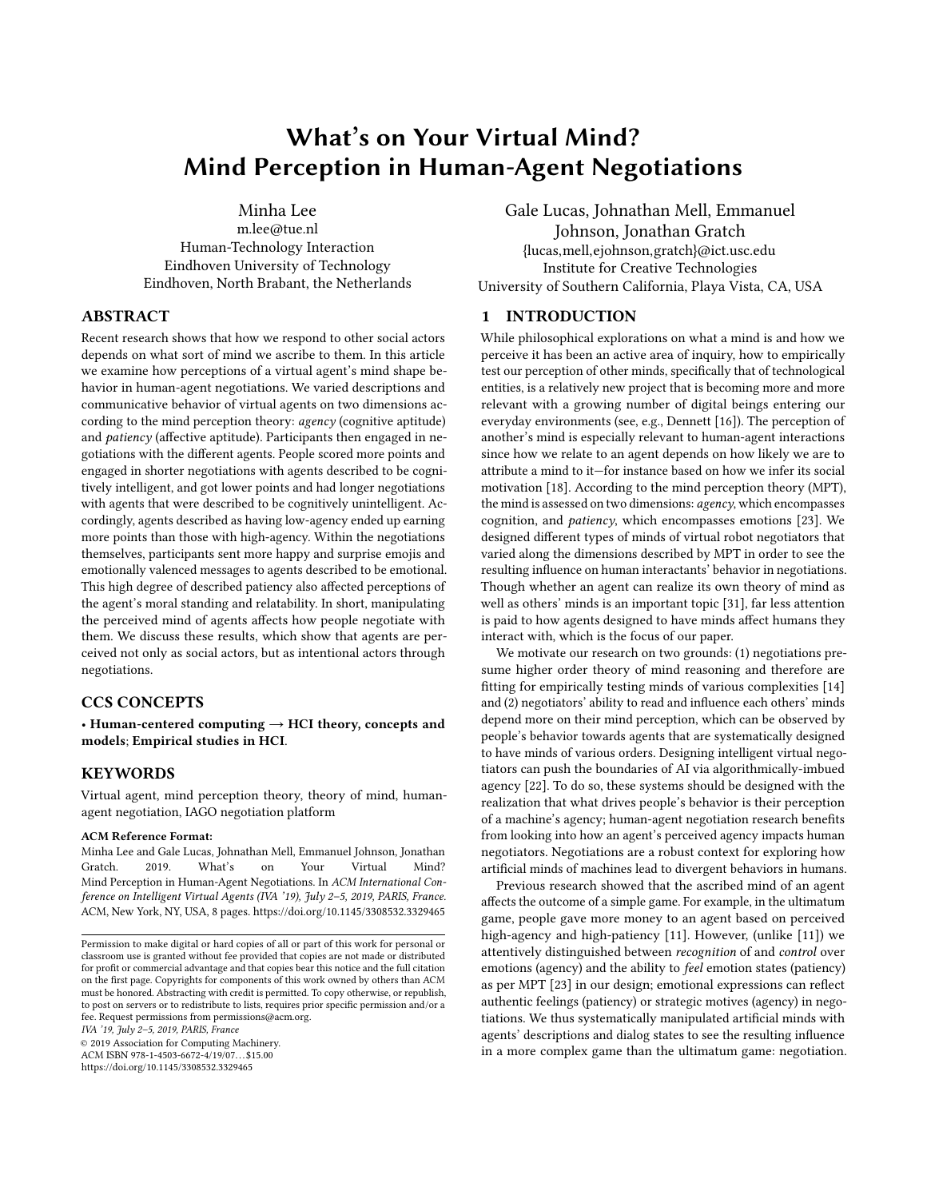# What's on Your Virtual Mind? Mind Perception in Human-Agent Negotiations

Minha Lee m.lee@tue.nl Human-Technology Interaction Eindhoven University of Technology Eindhoven, North Brabant, the Netherlands

## ABSTRACT

Recent research shows that how we respond to other social actors depends on what sort of mind we ascribe to them. In this article we examine how perceptions of a virtual agent's mind shape behavior in human-agent negotiations. We varied descriptions and communicative behavior of virtual agents on two dimensions according to the mind perception theory: agency (cognitive aptitude) and patiency (affective aptitude). Participants then engaged in negotiations with the different agents. People scored more points and engaged in shorter negotiations with agents described to be cognitively intelligent, and got lower points and had longer negotiations with agents that were described to be cognitively unintelligent. Accordingly, agents described as having low-agency ended up earning more points than those with high-agency. Within the negotiations themselves, participants sent more happy and surprise emojis and emotionally valenced messages to agents described to be emotional. This high degree of described patiency also affected perceptions of the agent's moral standing and relatability. In short, manipulating the perceived mind of agents affects how people negotiate with them. We discuss these results, which show that agents are perceived not only as social actors, but as intentional actors through negotiations.

#### CCS CONCEPTS

• Human-centered computing → HCI theory, concepts and models; Empirical studies in HCI.

# **KEYWORDS**

Virtual agent, mind perception theory, theory of mind, humanagent negotiation, IAGO negotiation platform

#### ACM Reference Format:

Minha Lee and Gale Lucas, Johnathan Mell, Emmanuel Johnson, Jonathan Gratch. 2019. What's on Your Virtual Mind? Mind Perception in Human-Agent Negotiations. In ACM International Conference on Intelligent Virtual Agents (IVA '19), July 2–5, 2019, PARIS, France. ACM, New York, NY, USA, [8](#page-7-0) pages.<https://doi.org/10.1145/3308532.3329465>

IVA '19, July 2–5, 2019, PARIS, France

© 2019 Association for Computing Machinery.

ACM ISBN 978-1-4503-6672-4/19/07. . . \$15.00 <https://doi.org/10.1145/3308532.3329465>

Gale Lucas, Johnathan Mell, Emmanuel Johnson, Jonathan Gratch {lucas,mell,ejohnson,gratch}@ict.usc.edu Institute for Creative Technologies University of Southern California, Playa Vista, CA, USA

# 1 INTRODUCTION

While philosophical explorations on what a mind is and how we perceive it has been an active area of inquiry, how to empirically test our perception of other minds, specifically that of technological entities, is a relatively new project that is becoming more and more relevant with a growing number of digital beings entering our everyday environments (see, e.g., Dennett [\[16\]](#page-7-1)). The perception of another's mind is especially relevant to human-agent interactions since how we relate to an agent depends on how likely we are to attribute a mind to it—for instance based on how we infer its social motivation [\[18\]](#page-7-2). According to the mind perception theory (MPT), the mind is assessed on two dimensions: agency, which encompasses cognition, and patiency, which encompasses emotions [\[23\]](#page-7-3). We designed different types of minds of virtual robot negotiators that varied along the dimensions described by MPT in order to see the resulting influence on human interactants' behavior in negotiations. Though whether an agent can realize its own theory of mind as well as others' minds is an important topic [\[31\]](#page-7-4), far less attention is paid to how agents designed to have minds affect humans they interact with, which is the focus of our paper.

We motivate our research on two grounds: (1) negotiations presume higher order theory of mind reasoning and therefore are fitting for empirically testing minds of various complexities [\[14\]](#page-7-5) and (2) negotiators' ability to read and influence each others' minds depend more on their mind perception, which can be observed by people's behavior towards agents that are systematically designed to have minds of various orders. Designing intelligent virtual negotiators can push the boundaries of AI via algorithmically-imbued agency [\[22\]](#page-7-6). To do so, these systems should be designed with the realization that what drives people's behavior is their perception of a machine's agency; human-agent negotiation research benefits from looking into how an agent's perceived agency impacts human negotiators. Negotiations are a robust context for exploring how artificial minds of machines lead to divergent behaviors in humans.

Previous research showed that the ascribed mind of an agent affects the outcome of a simple game. For example, in the ultimatum game, people gave more money to an agent based on perceived high-agency and high-patiency [\[11\]](#page-7-7). However, (unlike [11]) we attentively distinguished between recognition of and control over emotions (agency) and the ability to feel emotion states (patiency) as per MPT [\[23\]](#page-7-3) in our design; emotional expressions can reflect authentic feelings (patiency) or strategic motives (agency) in negotiations. We thus systematically manipulated artificial minds with agents' descriptions and dialog states to see the resulting influence in a more complex game than the ultimatum game: negotiation.

Permission to make digital or hard copies of all or part of this work for personal or classroom use is granted without fee provided that copies are not made or distributed for profit or commercial advantage and that copies bear this notice and the full citation on the first page. Copyrights for components of this work owned by others than ACM must be honored. Abstracting with credit is permitted. To copy otherwise, or republish, to post on servers or to redistribute to lists, requires prior specific permission and/or a fee. Request permissions from permissions@acm.org.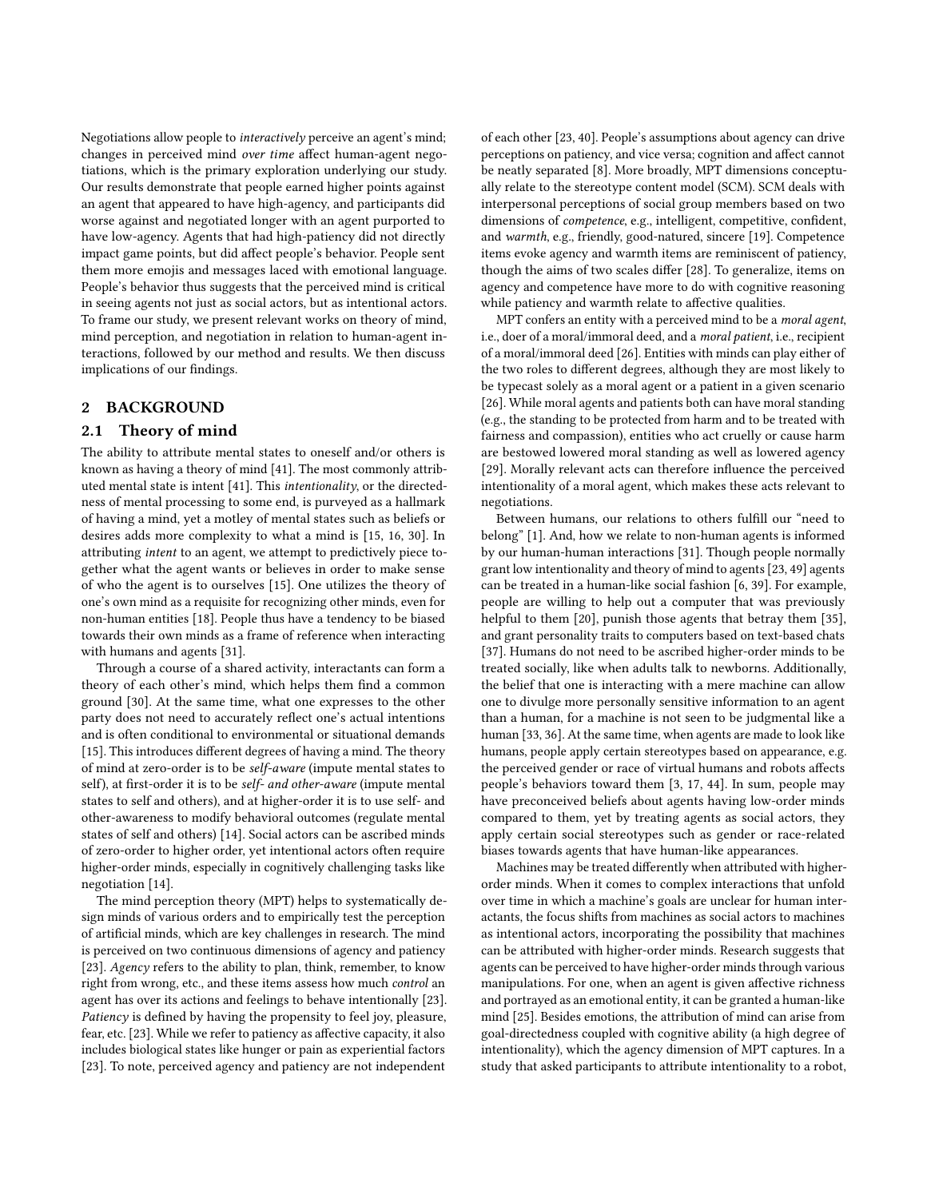Negotiations allow people to interactively perceive an agent's mind; changes in perceived mind over time affect human-agent negotiations, which is the primary exploration underlying our study. Our results demonstrate that people earned higher points against an agent that appeared to have high-agency, and participants did worse against and negotiated longer with an agent purported to have low-agency. Agents that had high-patiency did not directly impact game points, but did affect people's behavior. People sent them more emojis and messages laced with emotional language. People's behavior thus suggests that the perceived mind is critical in seeing agents not just as social actors, but as intentional actors. To frame our study, we present relevant works on theory of mind, mind perception, and negotiation in relation to human-agent interactions, followed by our method and results. We then discuss implications of our findings.

## 2 BACKGROUND

#### 2.1 Theory of mind

The ability to attribute mental states to oneself and/or others is known as having a theory of mind [\[41\]](#page-7-8). The most commonly attributed mental state is intent [\[41\]](#page-7-8). This intentionality, or the directedness of mental processing to some end, is purveyed as a hallmark of having a mind, yet a motley of mental states such as beliefs or desires adds more complexity to what a mind is [\[15,](#page-7-9) [16,](#page-7-1) [30\]](#page-7-10). In attributing intent to an agent, we attempt to predictively piece together what the agent wants or believes in order to make sense of who the agent is to ourselves [\[15\]](#page-7-9). One utilizes the theory of one's own mind as a requisite for recognizing other minds, even for non-human entities [\[18\]](#page-7-2). People thus have a tendency to be biased towards their own minds as a frame of reference when interacting with humans and agents [\[31\]](#page-7-4).

Through a course of a shared activity, interactants can form a theory of each other's mind, which helps them find a common ground [\[30\]](#page-7-10). At the same time, what one expresses to the other party does not need to accurately reflect one's actual intentions and is often conditional to environmental or situational demands [\[15\]](#page-7-9). This introduces different degrees of having a mind. The theory of mind at zero-order is to be self-aware (impute mental states to self), at first-order it is to be self- and other-aware (impute mental states to self and others), and at higher-order it is to use self- and other-awareness to modify behavioral outcomes (regulate mental states of self and others) [\[14\]](#page-7-5). Social actors can be ascribed minds of zero-order to higher order, yet intentional actors often require higher-order minds, especially in cognitively challenging tasks like negotiation [\[14\]](#page-7-5).

The mind perception theory (MPT) helps to systematically design minds of various orders and to empirically test the perception of artificial minds, which are key challenges in research. The mind is perceived on two continuous dimensions of agency and patiency [\[23\]](#page-7-3). Agency refers to the ability to plan, think, remember, to know right from wrong, etc., and these items assess how much control an agent has over its actions and feelings to behave intentionally [\[23\]](#page-7-3). Patiency is defined by having the propensity to feel joy, pleasure, fear, etc. [\[23\]](#page-7-3). While we refer to patiency as affective capacity, it also includes biological states like hunger or pain as experiential factors [\[23\]](#page-7-3). To note, perceived agency and patiency are not independent

of each other [\[23,](#page-7-3) [40\]](#page-7-11). People's assumptions about agency can drive perceptions on patiency, and vice versa; cognition and affect cannot be neatly separated [\[8\]](#page-7-12). More broadly, MPT dimensions conceptually relate to the stereotype content model (SCM). SCM deals with interpersonal perceptions of social group members based on two dimensions of competence, e.g., intelligent, competitive, confident, and warmth, e.g., friendly, good-natured, sincere [\[19\]](#page-7-13). Competence items evoke agency and warmth items are reminiscent of patiency, though the aims of two scales differ [\[28\]](#page-7-14). To generalize, items on agency and competence have more to do with cognitive reasoning while patiency and warmth relate to affective qualities.

MPT confers an entity with a perceived mind to be a moral agent, i.e., doer of a moral/immoral deed, and a moral patient, i.e., recipient of a moral/immoral deed [\[26\]](#page-7-15). Entities with minds can play either of the two roles to different degrees, although they are most likely to be typecast solely as a moral agent or a patient in a given scenario [\[26\]](#page-7-15). While moral agents and patients both can have moral standing (e.g., the standing to be protected from harm and to be treated with fairness and compassion), entities who act cruelly or cause harm are bestowed lowered moral standing as well as lowered agency [\[29\]](#page-7-16). Morally relevant acts can therefore influence the perceived intentionality of a moral agent, which makes these acts relevant to negotiations.

Between humans, our relations to others fulfill our "need to belong" [\[1\]](#page-7-17). And, how we relate to non-human agents is informed by our human-human interactions [\[31\]](#page-7-4). Though people normally grant low intentionality and theory of mind to agents [\[23,](#page-7-3) [49\]](#page-7-18) agents can be treated in a human-like social fashion [\[6,](#page-7-19) [39\]](#page-7-20). For example, people are willing to help out a computer that was previously helpful to them [\[20\]](#page-7-21), punish those agents that betray them [\[35\]](#page-7-22), and grant personality traits to computers based on text-based chats [\[37\]](#page-7-23). Humans do not need to be ascribed higher-order minds to be treated socially, like when adults talk to newborns. Additionally, the belief that one is interacting with a mere machine can allow one to divulge more personally sensitive information to an agent than a human, for a machine is not seen to be judgmental like a human [\[33,](#page-7-24) [36\]](#page-7-25). At the same time, when agents are made to look like humans, people apply certain stereotypes based on appearance, e.g. the perceived gender or race of virtual humans and robots affects people's behaviors toward them [\[3,](#page-7-26) [17,](#page-7-27) [44\]](#page-7-28). In sum, people may have preconceived beliefs about agents having low-order minds compared to them, yet by treating agents as social actors, they apply certain social stereotypes such as gender or race-related biases towards agents that have human-like appearances.

Machines may be treated differently when attributed with higherorder minds. When it comes to complex interactions that unfold over time in which a machine's goals are unclear for human interactants, the focus shifts from machines as social actors to machines as intentional actors, incorporating the possibility that machines can be attributed with higher-order minds. Research suggests that agents can be perceived to have higher-order minds through various manipulations. For one, when an agent is given affective richness and portrayed as an emotional entity, it can be granted a human-like mind [\[25\]](#page-7-29). Besides emotions, the attribution of mind can arise from goal-directedness coupled with cognitive ability (a high degree of intentionality), which the agency dimension of MPT captures. In a study that asked participants to attribute intentionality to a robot,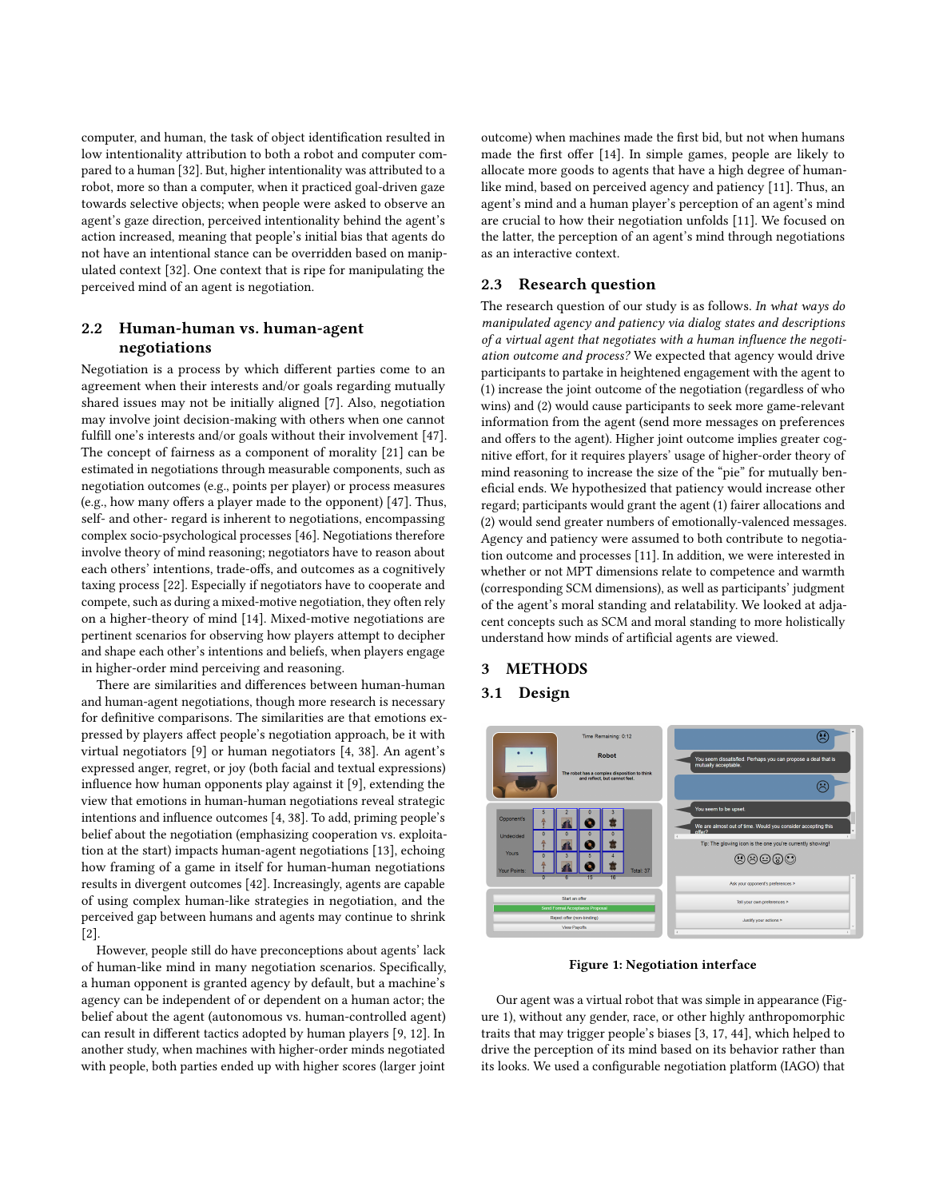computer, and human, the task of object identification resulted in low intentionality attribution to both a robot and computer compared to a human [\[32\]](#page-7-30). But, higher intentionality was attributed to a robot, more so than a computer, when it practiced goal-driven gaze towards selective objects; when people were asked to observe an agent's gaze direction, perceived intentionality behind the agent's action increased, meaning that people's initial bias that agents do not have an intentional stance can be overridden based on manipulated context [\[32\]](#page-7-30). One context that is ripe for manipulating the perceived mind of an agent is negotiation.

## 2.2 Human-human vs. human-agent negotiations

Negotiation is a process by which different parties come to an agreement when their interests and/or goals regarding mutually shared issues may not be initially aligned [\[7\]](#page-7-31). Also, negotiation may involve joint decision-making with others when one cannot fulfill one's interests and/or goals without their involvement [\[47\]](#page-7-32). The concept of fairness as a component of morality [\[21\]](#page-7-33) can be estimated in negotiations through measurable components, such as negotiation outcomes (e.g., points per player) or process measures (e.g., how many offers a player made to the opponent) [\[47\]](#page-7-32). Thus, self- and other- regard is inherent to negotiations, encompassing complex socio-psychological processes [\[46\]](#page-7-34). Negotiations therefore involve theory of mind reasoning; negotiators have to reason about each others' intentions, trade-offs, and outcomes as a cognitively taxing process [\[22\]](#page-7-6). Especially if negotiators have to cooperate and compete, such as during a mixed-motive negotiation, they often rely on a higher-theory of mind [\[14\]](#page-7-5). Mixed-motive negotiations are pertinent scenarios for observing how players attempt to decipher and shape each other's intentions and beliefs, when players engage in higher-order mind perceiving and reasoning.

There are similarities and differences between human-human and human-agent negotiations, though more research is necessary for definitive comparisons. The similarities are that emotions expressed by players affect people's negotiation approach, be it with virtual negotiators [\[9\]](#page-7-35) or human negotiators [\[4,](#page-7-36) [38\]](#page-7-37). An agent's expressed anger, regret, or joy (both facial and textual expressions) influence how human opponents play against it [\[9\]](#page-7-35), extending the view that emotions in human-human negotiations reveal strategic intentions and influence outcomes [\[4,](#page-7-36) [38\]](#page-7-37). To add, priming people's belief about the negotiation (emphasizing cooperation vs. exploitation at the start) impacts human-agent negotiations [\[13\]](#page-7-38), echoing how framing of a game in itself for human-human negotiations results in divergent outcomes [\[42\]](#page-7-39). Increasingly, agents are capable of using complex human-like strategies in negotiation, and the perceived gap between humans and agents may continue to shrink [\[2\]](#page-7-40).

However, people still do have preconceptions about agents' lack of human-like mind in many negotiation scenarios. Specifically, a human opponent is granted agency by default, but a machine's agency can be independent of or dependent on a human actor; the belief about the agent (autonomous vs. human-controlled agent) can result in different tactics adopted by human players [\[9,](#page-7-35) [12\]](#page-7-41). In another study, when machines with higher-order minds negotiated with people, both parties ended up with higher scores (larger joint

outcome) when machines made the first bid, but not when humans made the first offer [\[14\]](#page-7-5). In simple games, people are likely to allocate more goods to agents that have a high degree of humanlike mind, based on perceived agency and patiency [\[11\]](#page-7-7). Thus, an agent's mind and a human player's perception of an agent's mind are crucial to how their negotiation unfolds [\[11\]](#page-7-7). We focused on the latter, the perception of an agent's mind through negotiations as an interactive context.

## 2.3 Research question

The research question of our study is as follows. In what ways do manipulated agency and patiency via dialog states and descriptions of a virtual agent that negotiates with a human influence the negotiation outcome and process? We expected that agency would drive participants to partake in heightened engagement with the agent to (1) increase the joint outcome of the negotiation (regardless of who wins) and (2) would cause participants to seek more game-relevant information from the agent (send more messages on preferences and offers to the agent). Higher joint outcome implies greater cognitive effort, for it requires players' usage of higher-order theory of mind reasoning to increase the size of the "pie" for mutually beneficial ends. We hypothesized that patiency would increase other regard; participants would grant the agent (1) fairer allocations and (2) would send greater numbers of emotionally-valenced messages. Agency and patiency were assumed to both contribute to negotiation outcome and processes [\[11\]](#page-7-7). In addition, we were interested in whether or not MPT dimensions relate to competence and warmth (corresponding SCM dimensions), as well as participants' judgment of the agent's moral standing and relatability. We looked at adjacent concepts such as SCM and moral standing to more holistically understand how minds of artificial agents are viewed.

## 3 METHODS

## 3.1 Design



Figure 1: Negotiation interface

Our agent was a virtual robot that was simple in appearance (Figure 1), without any gender, race, or other highly anthropomorphic traits that may trigger people's biases [\[3,](#page-7-26) [17,](#page-7-27) [44\]](#page-7-28), which helped to drive the perception of its mind based on its behavior rather than its looks. We used a configurable negotiation platform (IAGO) that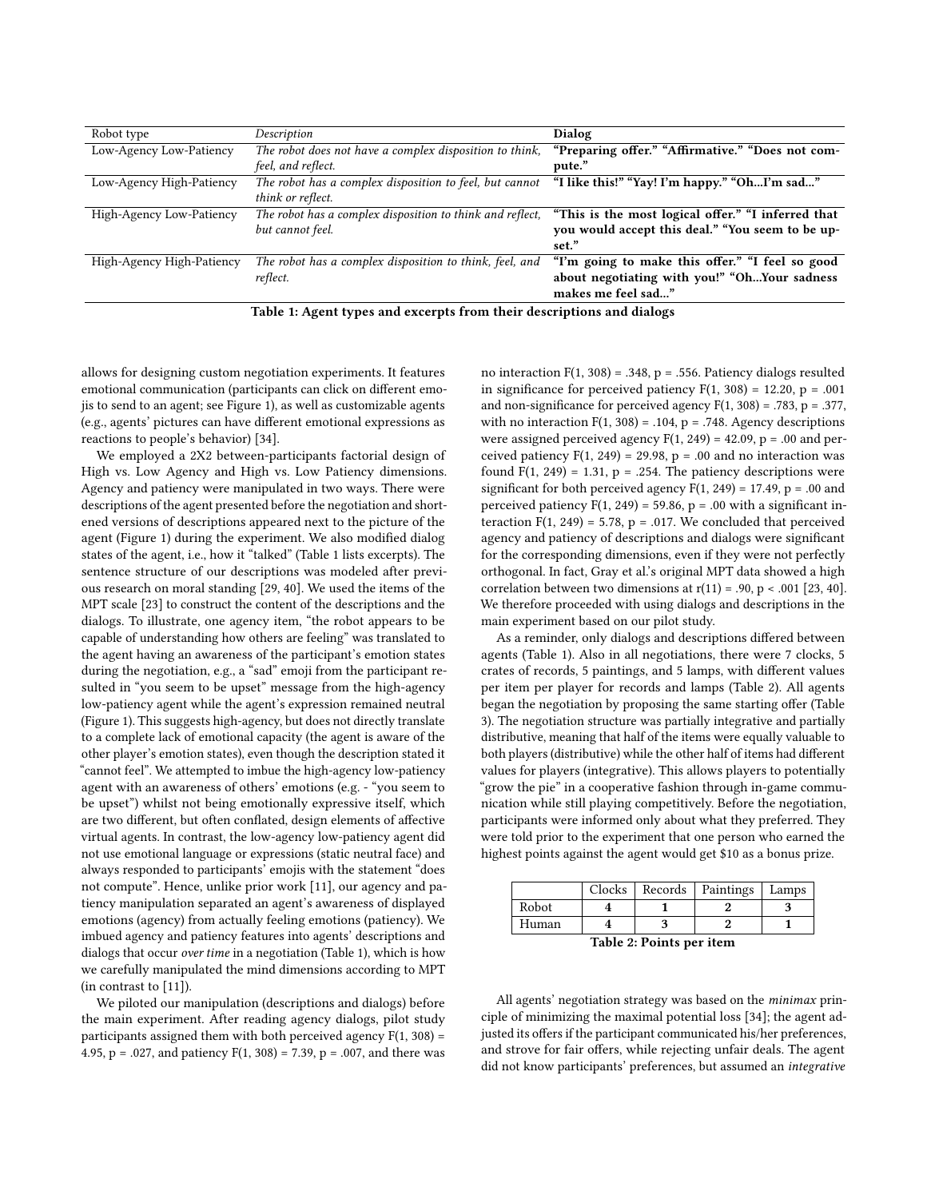<span id="page-3-0"></span>

| Robot type                | Description                                               | Dialog                                             |
|---------------------------|-----------------------------------------------------------|----------------------------------------------------|
| Low-Agency Low-Patiency   | The robot does not have a complex disposition to think,   | "Preparing offer." "Affirmative." "Does not com-   |
|                           | feel, and reflect.                                        | pute."                                             |
| Low-Agency High-Patiency  | The robot has a complex disposition to feel, but cannot   | "I like this!" "Yay! I'm happy." "OhI'm sad"       |
|                           | think or reflect.                                         |                                                    |
| High-Agency Low-Patiency  | The robot has a complex disposition to think and reflect, | "This is the most logical offer." "I inferred that |
|                           | but cannot feel.                                          | you would accept this deal." "You seem to be up-   |
|                           |                                                           | set."                                              |
| High-Agency High-Patiency | The robot has a complex disposition to think, feel, and   | "I'm going to make this offer." "I feel so good    |
|                           | reflect.                                                  | about negotiating with you!" "OhYour sadness       |
|                           |                                                           | makes me feel sad"                                 |
|                           |                                                           |                                                    |

Table 1: Agent types and excerpts from their descriptions and dialogs

allows for designing custom negotiation experiments. It features emotional communication (participants can click on different emojis to send to an agent; see Figure 1), as well as customizable agents (e.g., agents' pictures can have different emotional expressions as reactions to people's behavior) [\[34\]](#page-7-42).

We employed a 2X2 between-participants factorial design of High vs. Low Agency and High vs. Low Patiency dimensions. Agency and patiency were manipulated in two ways. There were descriptions of the agent presented before the negotiation and shortened versions of descriptions appeared next to the picture of the agent (Figure 1) during the experiment. We also modified dialog states of the agent, i.e., how it "talked" (Table [1](#page-3-0) lists excerpts). The sentence structure of our descriptions was modeled after previous research on moral standing [\[29,](#page-7-16) [40\]](#page-7-11). We used the items of the MPT scale [\[23\]](#page-7-3) to construct the content of the descriptions and the dialogs. To illustrate, one agency item, "the robot appears to be capable of understanding how others are feeling" was translated to the agent having an awareness of the participant's emotion states during the negotiation, e.g., a "sad" emoji from the participant resulted in "you seem to be upset" message from the high-agency low-patiency agent while the agent's expression remained neutral (Figure 1). This suggests high-agency, but does not directly translate to a complete lack of emotional capacity (the agent is aware of the other player's emotion states), even though the description stated it "cannot feel". We attempted to imbue the high-agency low-patiency agent with an awareness of others' emotions (e.g. - "you seem to be upset") whilst not being emotionally expressive itself, which are two different, but often conflated, design elements of affective virtual agents. In contrast, the low-agency low-patiency agent did not use emotional language or expressions (static neutral face) and always responded to participants' emojis with the statement "does not compute". Hence, unlike prior work [\[11\]](#page-7-7), our agency and patiency manipulation separated an agent's awareness of displayed emotions (agency) from actually feeling emotions (patiency). We imbued agency and patiency features into agents' descriptions and dialogs that occur over time in a negotiation (Table 1), which is how we carefully manipulated the mind dimensions according to MPT (in contrast to [\[11\]](#page-7-7)).

We piloted our manipulation (descriptions and dialogs) before the main experiment. After reading agency dialogs, pilot study participants assigned them with both perceived agency  $F(1, 308) =$ 4.95, p = .027, and patiency  $F(1, 308) = 7.39$ , p = .007, and there was no interaction  $F(1, 308) = .348$ , p = .556. Patiency dialogs resulted in significance for perceived patiency  $F(1, 308) = 12.20$ ,  $p = .001$ and non-significance for perceived agency  $F(1, 308) = .783$ , p = .377, with no interaction  $F(1, 308) = .104$ , p = .748. Agency descriptions were assigned perceived agency  $F(1, 249) = 42.09$ ,  $p = .00$  and perceived patiency  $F(1, 249) = 29.98$ ,  $p = .00$  and no interaction was found  $F(1, 249) = 1.31$ ,  $p = .254$ . The patiency descriptions were significant for both perceived agency  $F(1, 249) = 17.49$ , p = .00 and perceived patiency  $F(1, 249) = 59.86$ ,  $p = .00$  with a significant interaction  $F(1, 249) = 5.78$ ,  $p = .017$ . We concluded that perceived agency and patiency of descriptions and dialogs were significant for the corresponding dimensions, even if they were not perfectly orthogonal. In fact, Gray et al.'s original MPT data showed a high correlation between two dimensions at  $r(11) = .90$ ,  $p < .001$  [\[23,](#page-7-3) [40\]](#page-7-11). We therefore proceeded with using dialogs and descriptions in the main experiment based on our pilot study.

As a reminder, only dialogs and descriptions differed between agents (Table 1). Also in all negotiations, there were 7 clocks, 5 crates of records, 5 paintings, and 5 lamps, with different values per item per player for records and lamps (Table 2). All agents began the negotiation by proposing the same starting offer (Table 3). The negotiation structure was partially integrative and partially distributive, meaning that half of the items were equally valuable to both players (distributive) while the other half of items had different values for players (integrative). This allows players to potentially "grow the pie" in a cooperative fashion through in-game communication while still playing competitively. Before the negotiation, participants were informed only about what they preferred. They were told prior to the experiment that one person who earned the highest points against the agent would get \$10 as a bonus prize.

<span id="page-3-1"></span>

|                          | Clocks |  | Records   Paintings   Lamps |  |  |
|--------------------------|--------|--|-----------------------------|--|--|
| Robot                    |        |  |                             |  |  |
| Human                    |        |  |                             |  |  |
| Tahla 9. Dainta nan itam |        |  |                             |  |  |

Table 2: Points per item

All agents' negotiation strategy was based on the minimax principle of minimizing the maximal potential loss [\[34\]](#page-7-42); the agent adjusted its offers if the participant communicated his/her preferences, and strove for fair offers, while rejecting unfair deals. The agent did not know participants' preferences, but assumed an integrative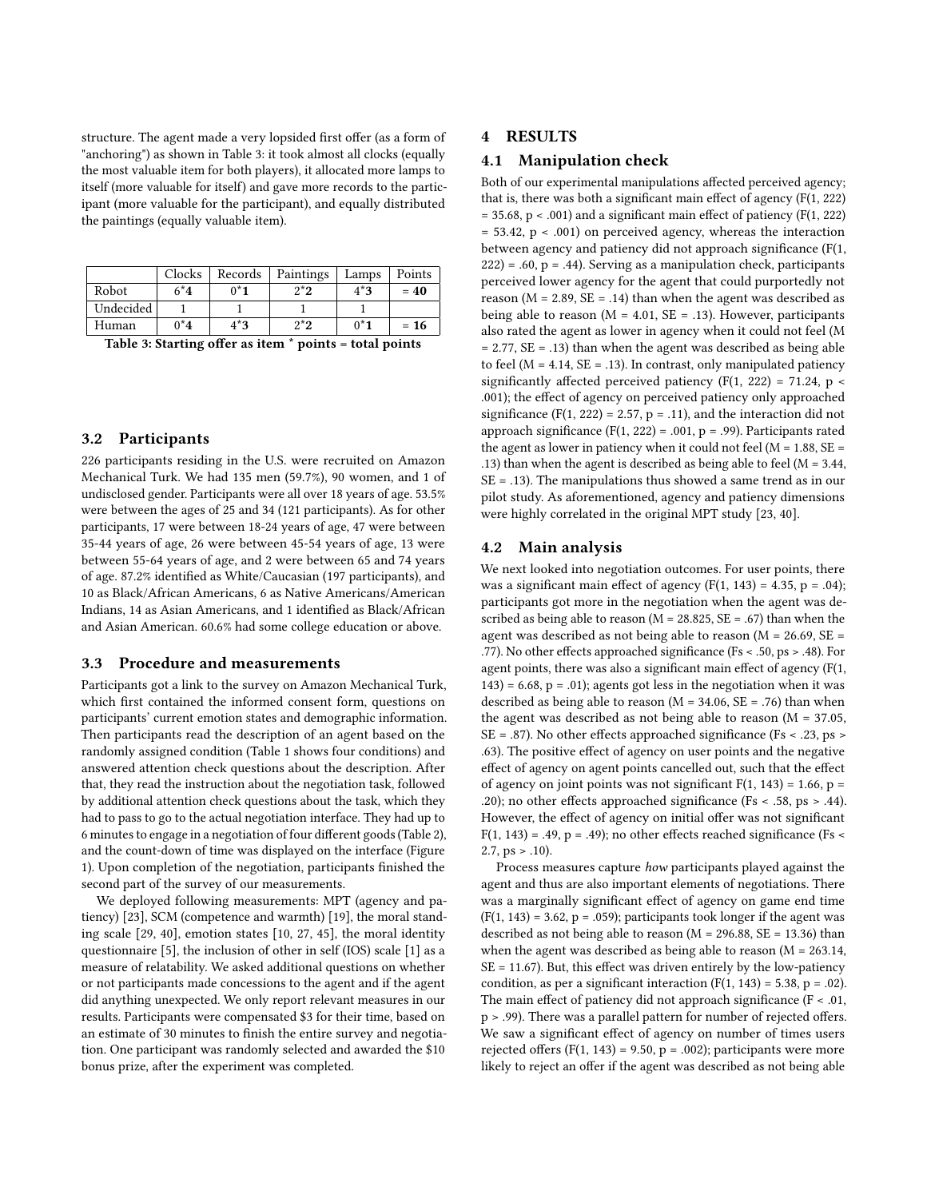structure. The agent made a very lopsided first offer (as a form of "anchoring") as shown in Table 3: it took almost all clocks (equally the most valuable item for both players), it allocated more lamps to itself (more valuable for itself) and gave more records to the participant (more valuable for the participant), and equally distributed the paintings (equally valuable item).

|           | Clocks | Records | Paintings | Lamps | Points |
|-----------|--------|---------|-----------|-------|--------|
| Robot     | $6*4$  | $0*1$   | $2^*2$    | $4*3$ | $= 40$ |
| Undecided |        |         |           |       |        |
| Human     | $0^*4$ | $4*3$   | $2*2$     | $0*1$ | $= 16$ |

| Table 3: Starting offer as item * points = total points |  |  |  |  |  |
|---------------------------------------------------------|--|--|--|--|--|
|---------------------------------------------------------|--|--|--|--|--|

## 3.2 Participants

226 participants residing in the U.S. were recruited on Amazon Mechanical Turk. We had 135 men (59.7%), 90 women, and 1 of undisclosed gender. Participants were all over 18 years of age. 53.5% were between the ages of 25 and 34 (121 participants). As for other participants, 17 were between 18-24 years of age, 47 were between 35-44 years of age, 26 were between 45-54 years of age, 13 were between 55-64 years of age, and 2 were between 65 and 74 years of age. 87.2% identified as White/Caucasian (197 participants), and 10 as Black/African Americans, 6 as Native Americans/American Indians, 14 as Asian Americans, and 1 identified as Black/African and Asian American. 60.6% had some college education or above.

#### 3.3 Procedure and measurements

Participants got a link to the survey on Amazon Mechanical Turk, which first contained the informed consent form, questions on participants' current emotion states and demographic information. Then participants read the description of an agent based on the randomly assigned condition (Table 1 shows four conditions) and answered attention check questions about the description. After that, they read the instruction about the negotiation task, followed by additional attention check questions about the task, which they had to pass to go to the actual negotiation interface. They had up to 6 minutes to engage in a negotiation of four different goods (Table [2\)](#page-3-1), and the count-down of time was displayed on the interface (Figure 1). Upon completion of the negotiation, participants finished the second part of the survey of our measurements.

We deployed following measurements: MPT (agency and patiency) [\[23\]](#page-7-3), SCM (competence and warmth) [\[19\]](#page-7-13), the moral standing scale [\[29,](#page-7-16) [40\]](#page-7-11), emotion states [\[10,](#page-7-43) [27,](#page-7-44) [45\]](#page-7-45), the moral identity questionnaire [\[5\]](#page-7-46), the inclusion of other in self (IOS) scale [\[1\]](#page-7-17) as a measure of relatability. We asked additional questions on whether or not participants made concessions to the agent and if the agent did anything unexpected. We only report relevant measures in our results. Participants were compensated \$3 for their time, based on an estimate of 30 minutes to finish the entire survey and negotiation. One participant was randomly selected and awarded the \$10 bonus prize, after the experiment was completed.

# 4 RESULTS

#### 4.1 Manipulation check

Both of our experimental manipulations affected perceived agency; that is, there was both a significant main effect of agency (F(1, 222)  $= 35.68$ ,  $p < .001$ ) and a significant main effect of patiency (F(1, 222)  $= 53.42$ ,  $p < .001$ ) on perceived agency, whereas the interaction between agency and patiency did not approach significance (F(1,  $222$ ) = .60, p = .44). Serving as a manipulation check, participants perceived lower agency for the agent that could purportedly not reason ( $M = 2.89$ ,  $SE = .14$ ) than when the agent was described as being able to reason ( $M = 4.01$ ,  $SE = .13$ ). However, participants also rated the agent as lower in agency when it could not feel (M  $= 2.77$ ,  $SE = .13$ ) than when the agent was described as being able to feel ( $M = 4.14$ ,  $SE = .13$ ). In contrast, only manipulated patiency significantly affected perceived patiency (F(1, 222) = 71.24,  $p \lt$ .001); the effect of agency on perceived patiency only approached significance (F(1, 222) = 2.57,  $p = .11$ ), and the interaction did not approach significance (F(1, 222) = .001,  $p = .99$ ). Participants rated the agent as lower in patiency when it could not feel ( $M = 1.88$ ,  $SE =$ .13) than when the agent is described as being able to feel (M = 3.44, SE = .13). The manipulations thus showed a same trend as in our pilot study. As aforementioned, agency and patiency dimensions were highly correlated in the original MPT study [\[23,](#page-7-3) [40\]](#page-7-11).

## 4.2 Main analysis

We next looked into negotiation outcomes. For user points, there was a significant main effect of agency  $(F(1, 143) = 4.35, p = .04)$ ; participants got more in the negotiation when the agent was described as being able to reason ( $M = 28.825$ ,  $SE = .67$ ) than when the agent was described as not being able to reason ( $M = 26.69$ ,  $SE =$ .77). No other effects approached significance (Fs < .50, ps > .48). For agent points, there was also a significant main effect of agency (F(1,  $143$ ) = 6.68, p = .01); agents got less in the negotiation when it was described as being able to reason ( $M = 34.06$ ,  $SE = .76$ ) than when the agent was described as not being able to reason  $(M = 37.05,$  $SE = .87$ ). No other effects approached significance (Fs < .23, ps > .63). The positive effect of agency on user points and the negative effect of agency on agent points cancelled out, such that the effect of agency on joint points was not significant  $F(1, 143) = 1.66$ , p = .20); no other effects approached significance (Fs < .58, ps > .44). However, the effect of agency on initial offer was not significant  $F(1, 143) = .49$ , p = .49); no other effects reached significance (Fs <  $2.7$ , ps  $> .10$ ).

Process measures capture how participants played against the agent and thus are also important elements of negotiations. There was a marginally significant effect of agency on game end time  $(F(1, 143) = 3.62, p = .059)$ ; participants took longer if the agent was described as not being able to reason ( $M = 296.88$ ,  $SE = 13.36$ ) than when the agent was described as being able to reason (M = 263.14,  $SE = 11.67$ ). But, this effect was driven entirely by the low-patiency condition, as per a significant interaction  $(F(1, 143) = 5.38, p = .02)$ . The main effect of patiency did not approach significance (F < .01, p > .99). There was a parallel pattern for number of rejected offers. We saw a significant effect of agency on number of times users rejected offers (F(1, 143) = 9.50,  $p = .002$ ); participants were more likely to reject an offer if the agent was described as not being able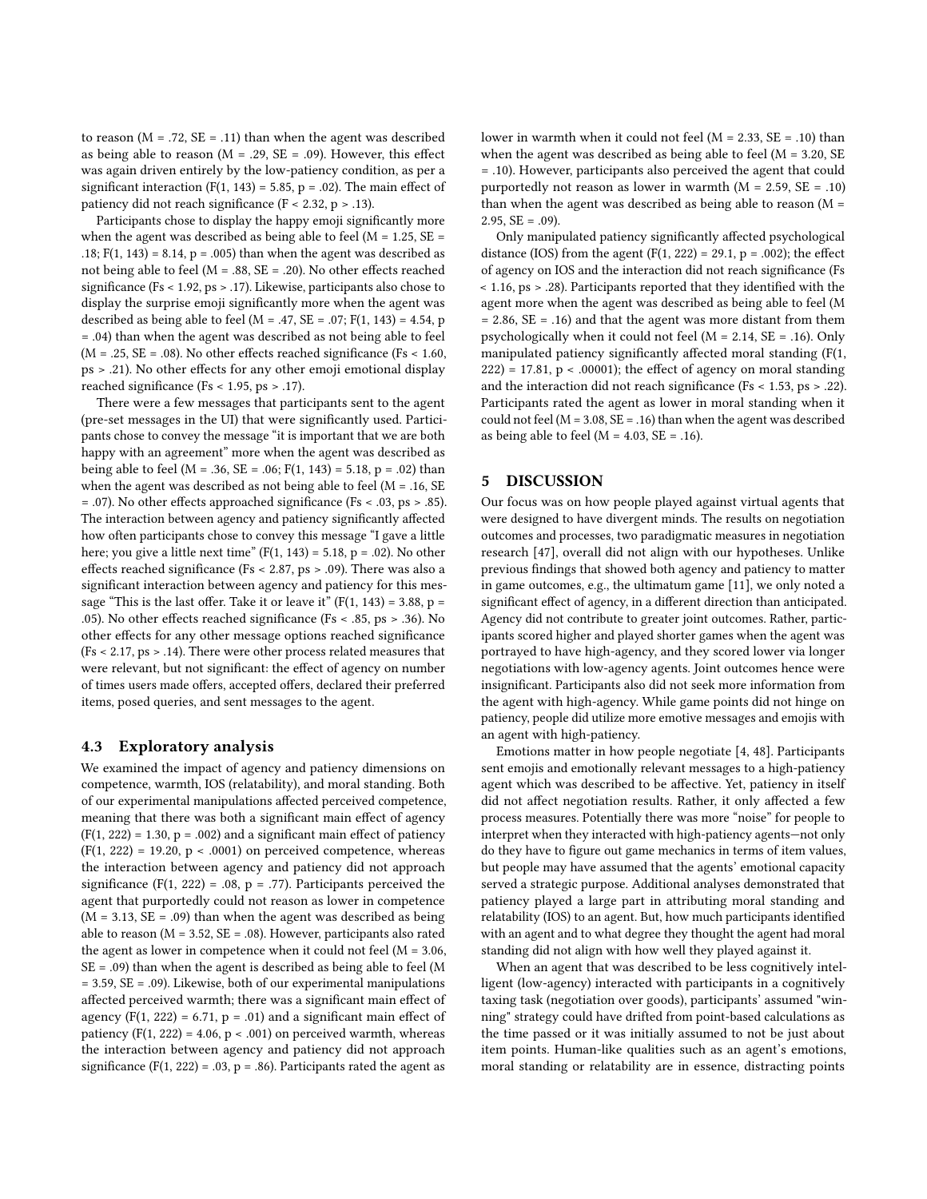to reason ( $M = .72$ ,  $SE = .11$ ) than when the agent was described as being able to reason ( $M = .29$ ,  $SE = .09$ ). However, this effect was again driven entirely by the low-patiency condition, as per a significant interaction (F(1, 143) = 5.85, p = .02). The main effect of patiency did not reach significance  $(F < 2.32, p > .13)$ .

Participants chose to display the happy emoji significantly more when the agent was described as being able to feel ( $M = 1.25$ ,  $SE =$ .18;  $F(1, 143) = 8.14$ ,  $p = .005$ ) than when the agent was described as not being able to feel (M = .88, SE = .20). No other effects reached significance (Fs < 1.92, ps > .17). Likewise, participants also chose to display the surprise emoji significantly more when the agent was described as being able to feel ( $M = .47$ ,  $SE = .07$ ;  $F(1, 143) = 4.54$ , p = .04) than when the agent was described as not being able to feel  $(M = .25, SE = .08)$ . No other effects reached significance (Fs < 1.60, ps > .21). No other effects for any other emoji emotional display reached significance (Fs < 1.95, ps > .17).

There were a few messages that participants sent to the agent (pre-set messages in the UI) that were significantly used. Participants chose to convey the message "it is important that we are both happy with an agreement" more when the agent was described as being able to feel ( $M = .36$ ,  $SE = .06$ ;  $F(1, 143) = 5.18$ ,  $p = .02$ ) than when the agent was described as not being able to feel ( $M = .16$ , SE = .07). No other effects approached significance (Fs < .03, ps > .85). The interaction between agency and patiency significantly affected how often participants chose to convey this message "I gave a little here; you give a little next time"  $(F(1, 143) = 5.18, p = .02)$ . No other effects reached significance (Fs < 2.87, ps > .09). There was also a significant interaction between agency and patiency for this message "This is the last offer. Take it or leave it"  $(F(1, 143) = 3.88, p =$ .05). No other effects reached significance (Fs < .85, ps > .36). No other effects for any other message options reached significance (Fs < 2.17, ps > .14). There were other process related measures that were relevant, but not significant: the effect of agency on number of times users made offers, accepted offers, declared their preferred items, posed queries, and sent messages to the agent.

#### 4.3 Exploratory analysis

We examined the impact of agency and patiency dimensions on competence, warmth, IOS (relatability), and moral standing. Both of our experimental manipulations affected perceived competence, meaning that there was both a significant main effect of agency  $(F(1, 222) = 1.30, p = .002)$  and a significant main effect of patiency  $(F(1, 222) = 19.20, p < .0001)$  on perceived competence, whereas the interaction between agency and patiency did not approach significance (F(1, 222) = .08, p = .77). Participants perceived the agent that purportedly could not reason as lower in competence  $(M = 3.13, SE = .09)$  than when the agent was described as being able to reason ( $M = 3.52$ ,  $SE = .08$ ). However, participants also rated the agent as lower in competence when it could not feel (M = 3.06, SE = .09) than when the agent is described as being able to feel (M  $= 3.59$ , SE = .09). Likewise, both of our experimental manipulations affected perceived warmth; there was a significant main effect of agency (F(1, 222) = 6.71,  $p = .01$ ) and a significant main effect of patiency (F(1, 222) = 4.06,  $p < .001$ ) on perceived warmth, whereas the interaction between agency and patiency did not approach significance (F(1, 222) = .03, p = .86). Participants rated the agent as

lower in warmth when it could not feel  $(M = 2.33, SE = .10)$  than when the agent was described as being able to feel  $(M = 3.20, SE)$ = .10). However, participants also perceived the agent that could purportedly not reason as lower in warmth  $(M = 2.59, SE = .10)$ than when the agent was described as being able to reason  $(M =$  $2.95, SE = .09$ ).

Only manipulated patiency significantly affected psychological distance (IOS) from the agent (F(1, 222) = 29.1,  $p = .002$ ); the effect of agency on IOS and the interaction did not reach significance (Fs < 1.16, ps > .28). Participants reported that they identified with the agent more when the agent was described as being able to feel (M  $= 2.86$ ,  $SE = .16$ ) and that the agent was more distant from them psychologically when it could not feel ( $M = 2.14$ ,  $SE = .16$ ). Only manipulated patiency significantly affected moral standing (F(1,  $222$ ) = 17.81, p < .00001); the effect of agency on moral standing and the interaction did not reach significance (Fs < 1.53, ps > .22). Participants rated the agent as lower in moral standing when it could not feel ( $M = 3.08$ ,  $SE = .16$ ) than when the agent was described as being able to feel ( $M = 4.03$ ,  $SE = .16$ ).

## 5 DISCUSSION

Our focus was on how people played against virtual agents that were designed to have divergent minds. The results on negotiation outcomes and processes, two paradigmatic measures in negotiation research [\[47\]](#page-7-32), overall did not align with our hypotheses. Unlike previous findings that showed both agency and patiency to matter in game outcomes, e.g., the ultimatum game [\[11\]](#page-7-7), we only noted a significant effect of agency, in a different direction than anticipated. Agency did not contribute to greater joint outcomes. Rather, participants scored higher and played shorter games when the agent was portrayed to have high-agency, and they scored lower via longer negotiations with low-agency agents. Joint outcomes hence were insignificant. Participants also did not seek more information from the agent with high-agency. While game points did not hinge on patiency, people did utilize more emotive messages and emojis with an agent with high-patiency.

Emotions matter in how people negotiate [\[4,](#page-7-36) [48\]](#page-7-47). Participants sent emojis and emotionally relevant messages to a high-patiency agent which was described to be affective. Yet, patiency in itself did not affect negotiation results. Rather, it only affected a few process measures. Potentially there was more "noise" for people to interpret when they interacted with high-patiency agents—not only do they have to figure out game mechanics in terms of item values, but people may have assumed that the agents' emotional capacity served a strategic purpose. Additional analyses demonstrated that patiency played a large part in attributing moral standing and relatability (IOS) to an agent. But, how much participants identified with an agent and to what degree they thought the agent had moral standing did not align with how well they played against it.

When an agent that was described to be less cognitively intelligent (low-agency) interacted with participants in a cognitively taxing task (negotiation over goods), participants' assumed "winning" strategy could have drifted from point-based calculations as the time passed or it was initially assumed to not be just about item points. Human-like qualities such as an agent's emotions, moral standing or relatability are in essence, distracting points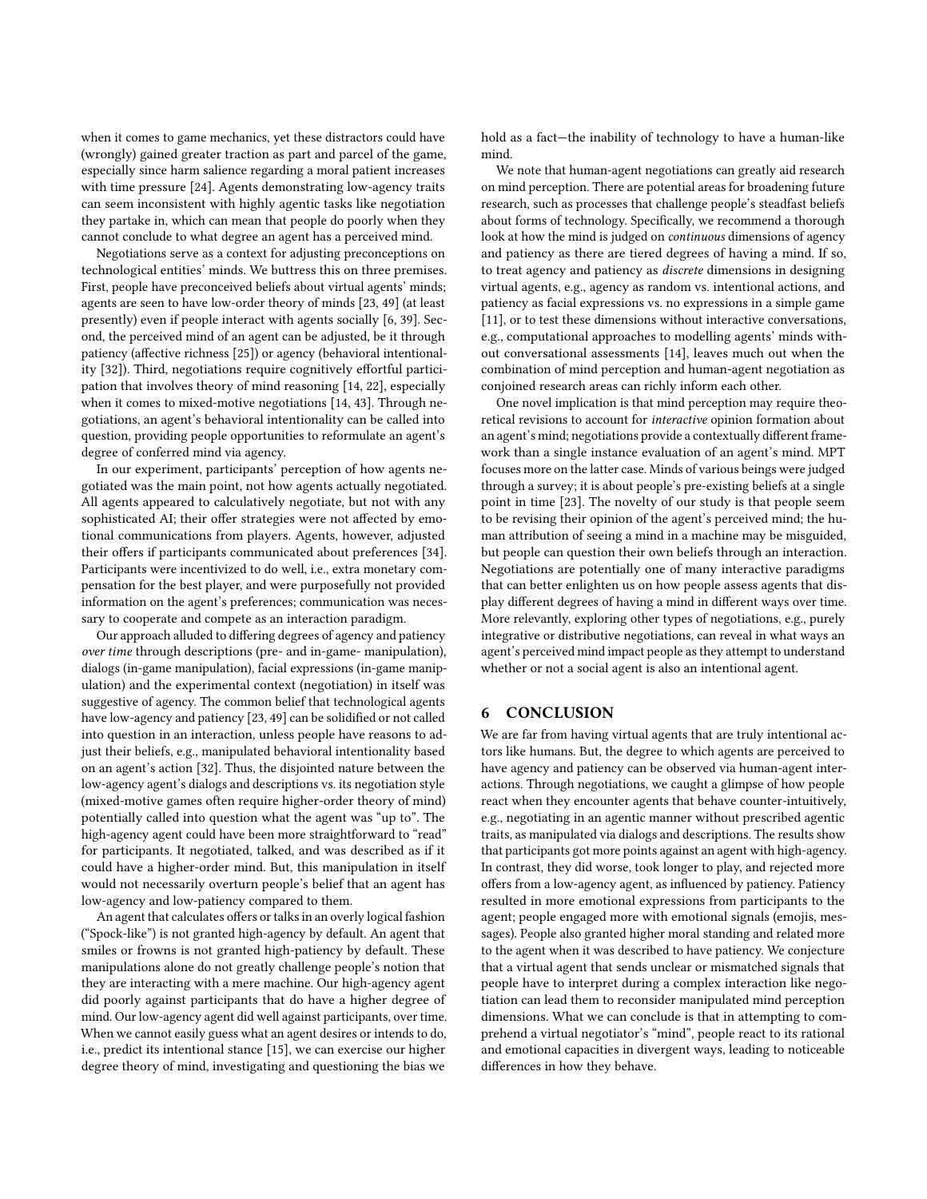when it comes to game mechanics, yet these distractors could have (wrongly) gained greater traction as part and parcel of the game, especially since harm salience regarding a moral patient increases with time pressure [\[24\]](#page-7-48). Agents demonstrating low-agency traits can seem inconsistent with highly agentic tasks like negotiation they partake in, which can mean that people do poorly when they cannot conclude to what degree an agent has a perceived mind.

Negotiations serve as a context for adjusting preconceptions on technological entities' minds. We buttress this on three premises. First, people have preconceived beliefs about virtual agents' minds; agents are seen to have low-order theory of minds [\[23,](#page-7-3) [49\]](#page-7-18) (at least presently) even if people interact with agents socially [\[6,](#page-7-19) [39\]](#page-7-20). Second, the perceived mind of an agent can be adjusted, be it through patiency (affective richness [\[25\]](#page-7-29)) or agency (behavioral intentionality [\[32\]](#page-7-30)). Third, negotiations require cognitively effortful participation that involves theory of mind reasoning [\[14,](#page-7-5) [22\]](#page-7-6), especially when it comes to mixed-motive negotiations [\[14,](#page-7-5) [43\]](#page-7-49). Through negotiations, an agent's behavioral intentionality can be called into question, providing people opportunities to reformulate an agent's degree of conferred mind via agency.

In our experiment, participants' perception of how agents negotiated was the main point, not how agents actually negotiated. All agents appeared to calculatively negotiate, but not with any sophisticated AI; their offer strategies were not affected by emotional communications from players. Agents, however, adjusted their offers if participants communicated about preferences [\[34\]](#page-7-42). Participants were incentivized to do well, i.e., extra monetary compensation for the best player, and were purposefully not provided information on the agent's preferences; communication was necessary to cooperate and compete as an interaction paradigm.

Our approach alluded to differing degrees of agency and patiency over time through descriptions (pre- and in-game- manipulation), dialogs (in-game manipulation), facial expressions (in-game manipulation) and the experimental context (negotiation) in itself was suggestive of agency. The common belief that technological agents have low-agency and patiency [\[23,](#page-7-3) [49\]](#page-7-18) can be solidified or not called into question in an interaction, unless people have reasons to adjust their beliefs, e.g., manipulated behavioral intentionality based on an agent's action [\[32\]](#page-7-30). Thus, the disjointed nature between the low-agency agent's dialogs and descriptions vs. its negotiation style (mixed-motive games often require higher-order theory of mind) potentially called into question what the agent was "up to". The high-agency agent could have been more straightforward to "read" for participants. It negotiated, talked, and was described as if it could have a higher-order mind. But, this manipulation in itself would not necessarily overturn people's belief that an agent has low-agency and low-patiency compared to them.

An agent that calculates offers or talks in an overly logical fashion ("Spock-like") is not granted high-agency by default. An agent that smiles or frowns is not granted high-patiency by default. These manipulations alone do not greatly challenge people's notion that they are interacting with a mere machine. Our high-agency agent did poorly against participants that do have a higher degree of mind. Our low-agency agent did well against participants, over time. When we cannot easily guess what an agent desires or intends to do, i.e., predict its intentional stance [\[15\]](#page-7-9), we can exercise our higher degree theory of mind, investigating and questioning the bias we

hold as a fact—the inability of technology to have a human-like mind.

We note that human-agent negotiations can greatly aid research on mind perception. There are potential areas for broadening future research, such as processes that challenge people's steadfast beliefs about forms of technology. Specifically, we recommend a thorough look at how the mind is judged on continuous dimensions of agency and patiency as there are tiered degrees of having a mind. If so, to treat agency and patiency as discrete dimensions in designing virtual agents, e.g., agency as random vs. intentional actions, and patiency as facial expressions vs. no expressions in a simple game [\[11\]](#page-7-7), or to test these dimensions without interactive conversations, e.g., computational approaches to modelling agents' minds without conversational assessments [\[14\]](#page-7-5), leaves much out when the combination of mind perception and human-agent negotiation as conjoined research areas can richly inform each other.

One novel implication is that mind perception may require theoretical revisions to account for interactive opinion formation about an agent's mind; negotiations provide a contextually different framework than a single instance evaluation of an agent's mind. MPT focuses more on the latter case. Minds of various beings were judged through a survey; it is about people's pre-existing beliefs at a single point in time [\[23\]](#page-7-3). The novelty of our study is that people seem to be revising their opinion of the agent's perceived mind; the human attribution of seeing a mind in a machine may be misguided, but people can question their own beliefs through an interaction. Negotiations are potentially one of many interactive paradigms that can better enlighten us on how people assess agents that display different degrees of having a mind in different ways over time. More relevantly, exploring other types of negotiations, e.g., purely integrative or distributive negotiations, can reveal in what ways an agent's perceived mind impact people as they attempt to understand whether or not a social agent is also an intentional agent.

### 6 CONCLUSION

We are far from having virtual agents that are truly intentional actors like humans. But, the degree to which agents are perceived to have agency and patiency can be observed via human-agent interactions. Through negotiations, we caught a glimpse of how people react when they encounter agents that behave counter-intuitively, e.g., negotiating in an agentic manner without prescribed agentic traits, as manipulated via dialogs and descriptions. The results show that participants got more points against an agent with high-agency. In contrast, they did worse, took longer to play, and rejected more offers from a low-agency agent, as influenced by patiency. Patiency resulted in more emotional expressions from participants to the agent; people engaged more with emotional signals (emojis, messages). People also granted higher moral standing and related more to the agent when it was described to have patiency. We conjecture that a virtual agent that sends unclear or mismatched signals that people have to interpret during a complex interaction like negotiation can lead them to reconsider manipulated mind perception dimensions. What we can conclude is that in attempting to comprehend a virtual negotiator's "mind", people react to its rational and emotional capacities in divergent ways, leading to noticeable differences in how they behave.